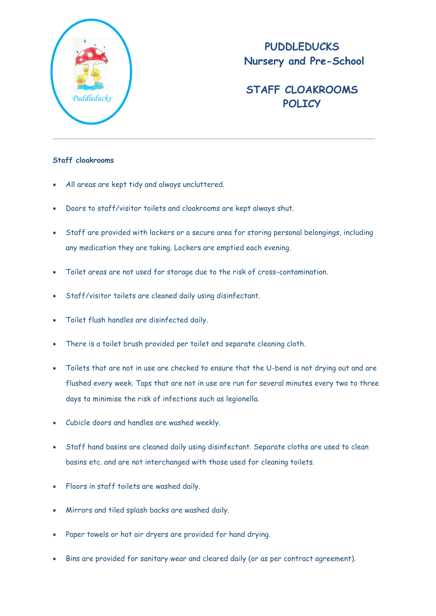

## **PUDDLEDUCKS Nursery and Pre-School**

## **STAFF CLOAKROOMS** *Puddleducks* **POLICY**

## **Staff cloakrooms**

- All areas are kept tidy and always uncluttered.
- Doors to staff/visitor toilets and cloakrooms are kept always shut.
- Staff are provided with lockers or a secure area for storing personal belongings, including any medication they are taking. Lockers are emptied each evening.
- Toilet areas are not used for storage due to the risk of cross-contamination.
- Staff/visitor toilets are cleaned daily using disinfectant.
- Toilet flush handles are disinfected daily.
- There is a toilet brush provided per toilet and separate cleaning cloth.
- Toilets that are not in use are checked to ensure that the U-bend is not drying out and are flushed every week. Taps that are not in use are run for several minutes every two to three days to minimise the risk of infections such as legionella.
- Cubicle doors and handles are washed weekly.
- Staff hand basins are cleaned daily using disinfectant. Separate cloths are used to clean basins etc. and are not interchanged with those used for cleaning toilets.
- Floors in staff toilets are washed daily.
- Mirrors and tiled splash backs are washed daily.
- Paper towels or hot air dryers are provided for hand drying.
- Bins are provided for sanitary wear and cleared daily (or as per contract agreement).